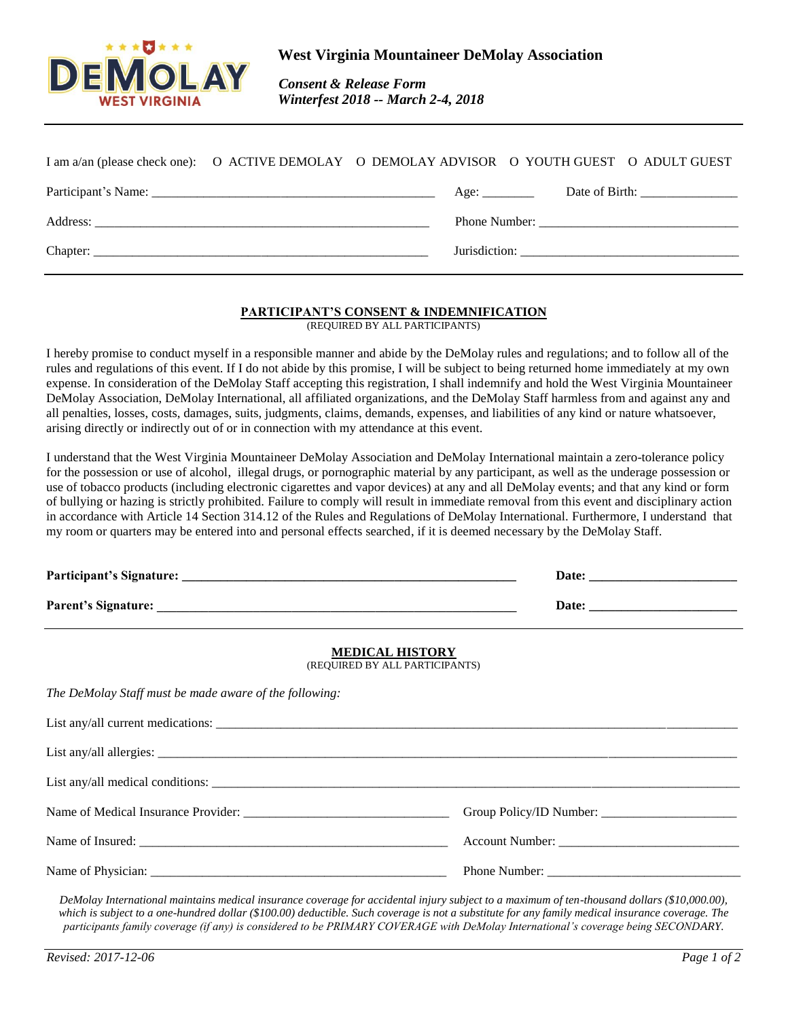

 *Consent & Release Form Winterfest 2018 -- March 2-4, 2018*

| I am a/an (please check one): O ACTIVE DEMOLAY O DEMOLAY ADVISOR O YOUTH GUEST O ADULT GUEST |  |      |  |                              |
|----------------------------------------------------------------------------------------------|--|------|--|------------------------------|
|                                                                                              |  | Age: |  | Date of Birth: $\frac{1}{2}$ |
|                                                                                              |  |      |  |                              |
|                                                                                              |  |      |  |                              |

## **PARTICIPANT'S CONSENT & INDEMNIFICATION**

(REQUIRED BY ALL PARTICIPANTS)

I hereby promise to conduct myself in a responsible manner and abide by the DeMolay rules and regulations; and to follow all of the rules and regulations of this event. If I do not abide by this promise, I will be subject to being returned home immediately at my own expense. In consideration of the DeMolay Staff accepting this registration, I shall indemnify and hold the West Virginia Mountaineer DeMolay Association, DeMolay International, all affiliated organizations, and the DeMolay Staff harmless from and against any and all penalties, losses, costs, damages, suits, judgments, claims, demands, expenses, and liabilities of any kind or nature whatsoever, arising directly or indirectly out of or in connection with my attendance at this event.

I understand that the West Virginia Mountaineer DeMolay Association and DeMolay International maintain a zero-tolerance policy for the possession or use of alcohol, illegal drugs, or pornographic material by any participant, as well as the underage possession or use of tobacco products (including electronic cigarettes and vapor devices) at any and all DeMolay events; and that any kind or form of bullying or hazing is strictly prohibited. Failure to comply will result in immediate removal from this event and disciplinary action in accordance with Article 14 Section 314.12 of the Rules and Regulations of DeMolay International. Furthermore, I understand that my room or quarters may be entered into and personal effects searched, if it is deemed necessary by the DeMolay Staff.

| <b>MEDICAL HISTORY</b><br>(REQUIRED BY ALL PARTICIPANTS) |  |  |  |  |
|----------------------------------------------------------|--|--|--|--|
| The DeMolay Staff must be made aware of the following:   |  |  |  |  |
|                                                          |  |  |  |  |
|                                                          |  |  |  |  |
|                                                          |  |  |  |  |
|                                                          |  |  |  |  |
|                                                          |  |  |  |  |
|                                                          |  |  |  |  |

*DeMolay International maintains medical insurance coverage for accidental injury subject to a maximum of ten-thousand dollars (\$10,000.00), which is subject to a one-hundred dollar (\$100.00) deductible. Such coverage is not a substitute for any family medical insurance coverage. The participants family coverage (if any) is considered to be PRIMARY COVERAGE with DeMolay International's coverage being SECONDARY.*